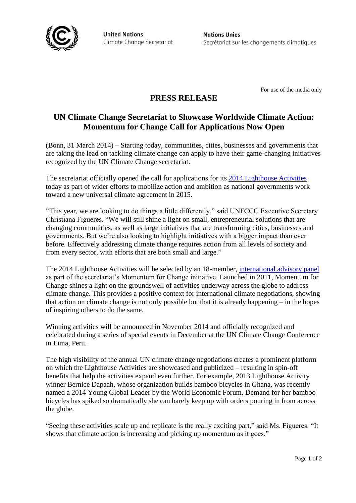

**United Nations** Climate Change Secretariat **Nations Unies** Secrétariat sur les changements climatiques

For use of the media only

## **PRESS RELEASE**

# **UN Climate Change Secretariat to Showcase Worldwide Climate Action: Momentum for Change Call for Applications Now Open**

(Bonn, 31 March 2014) – Starting today, communities, cities, businesses and governments that are taking the lead on tackling climate change can apply to have their game-changing initiatives recognized by the UN Climate Change secretariat.

The secretariat officially opened the call for applications for its [2014 Lighthouse Activities](http://www.momentum4change.org/) today as part of wider efforts to mobilize action and ambition as national governments work toward a new universal climate agreement in 2015.

"This year, we are looking to do things a little differently," said UNFCCC Executive Secretary Christiana Figueres. "We will still shine a light on small, entrepreneurial solutions that are changing communities, as well as large initiatives that are transforming cities, businesses and governments. But we're also looking to highlight initiatives with a bigger impact than ever before. Effectively addressing climate change requires action from all levels of society and from every sector, with efforts that are both small and large."

The 2014 Lighthouse Activities will be selected by an 18-member, [international advisory panel](http://unfccc.int/secretariat/momentum_for_change/items/6648.php) as part of the secretariat's Momentum for Change initiative. Launched in 2011, Momentum for Change shines a light on the groundswell of activities underway across the globe to address climate change. This provides a positive context for international climate negotiations, showing that action on climate change is not only possible but that it is already happening – in the hopes of inspiring others to do the same.

Winning activities will be announced in November 2014 and officially recognized and celebrated during a series of special events in December at the UN Climate Change Conference in Lima, Peru.

The high visibility of the annual UN climate change negotiations creates a prominent platform on which the Lighthouse Activities are showcased and publicized – resulting in spin-off benefits that help the activities expand even further. For example, 2013 Lighthouse Activity winner Bernice Dapaah, whose organization builds bamboo bicycles in Ghana, was recently named a 2014 Young Global Leader by the World Economic Forum. Demand for her bamboo bicycles has spiked so dramatically she can barely keep up with orders pouring in from across the globe.

"Seeing these activities scale up and replicate is the really exciting part," said Ms. Figueres. "It shows that climate action is increasing and picking up momentum as it goes."